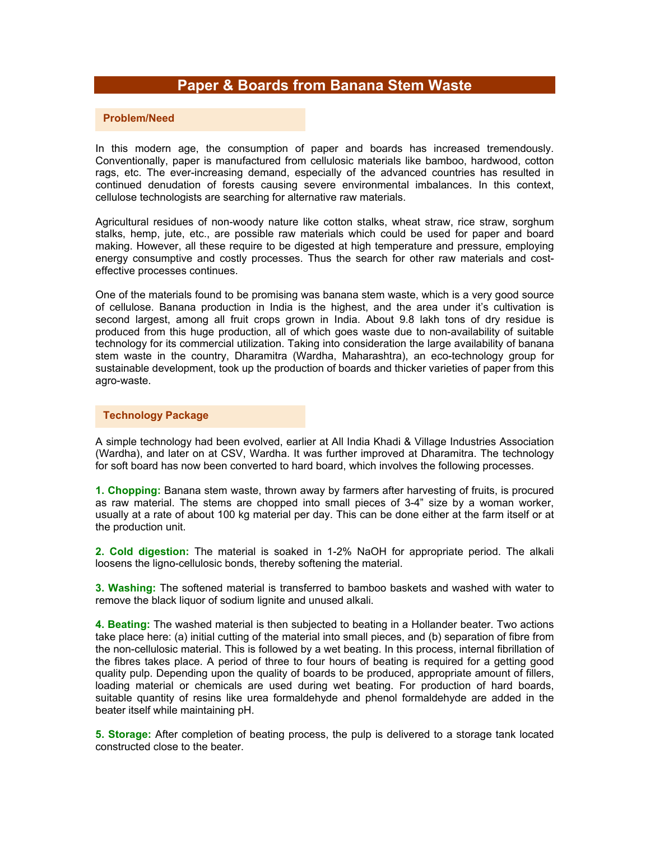# **Paper & Boards from Banana Stem Waste**

#### **Problem/Need**

In this modern age, the consumption of paper and boards has increased tremendously. Conventionally, paper is manufactured from cellulosic materials like bamboo, hardwood, cotton rags, etc. The ever-increasing demand, especially of the advanced countries has resulted in continued denudation of forests causing severe environmental imbalances. In this context, cellulose technologists are searching for alternative raw materials.

Agricultural residues of non-woody nature like cotton stalks, wheat straw, rice straw, sorghum stalks, hemp, jute, etc., are possible raw materials which could be used for paper and board making. However, all these require to be digested at high temperature and pressure, employing energy consumptive and costly processes. Thus the search for other raw materials and costeffective processes continues.

One of the materials found to be promising was banana stem waste, which is a very good source of cellulose. Banana production in India is the highest, and the area under it's cultivation is second largest, among all fruit crops grown in India. About 9.8 lakh tons of dry residue is produced from this huge production, all of which goes waste due to non-availability of suitable technology for its commercial utilization. Taking into consideration the large availability of banana stem waste in the country, Dharamitra (Wardha, Maharashtra), an eco-technology group for sustainable development, took up the production of boards and thicker varieties of paper from this agro-waste.

#### **Technology Package**

A simple technology had been evolved, earlier at All India Khadi & Village Industries Association (Wardha), and later on at CSV, Wardha. It was further improved at Dharamitra. The technology for soft board has now been converted to hard board, which involves the following processes.

**1. Chopping:** Banana stem waste, thrown away by farmers after harvesting of fruits, is procured as raw material. The stems are chopped into small pieces of 3-4" size by a woman worker, usually at a rate of about 100 kg material per day. This can be done either at the farm itself or at the production unit.

**2. Cold digestion:** The material is soaked in 1-2% NaOH for appropriate period. The alkali loosens the ligno-cellulosic bonds, thereby softening the material.

**3. Washing:** The softened material is transferred to bamboo baskets and washed with water to remove the black liquor of sodium lignite and unused alkali.

**4. Beating:** The washed material is then subjected to beating in a Hollander beater. Two actions take place here: (a) initial cutting of the material into small pieces, and (b) separation of fibre from the non-cellulosic material. This is followed by a wet beating. In this process, internal fibrillation of the fibres takes place. A period of three to four hours of beating is required for a getting good quality pulp. Depending upon the quality of boards to be produced, appropriate amount of fillers, loading material or chemicals are used during wet beating. For production of hard boards, suitable quantity of resins like urea formaldehyde and phenol formaldehyde are added in the beater itself while maintaining pH.

**5. Storage:** After completion of beating process, the pulp is delivered to a storage tank located constructed close to the beater.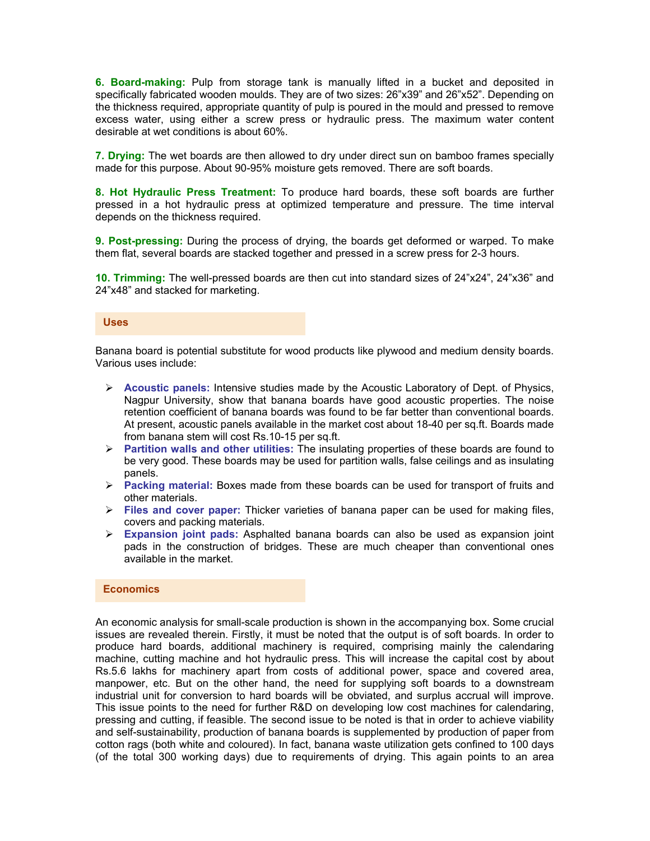**6. Board-making:** Pulp from storage tank is manually lifted in a bucket and deposited in specifically fabricated wooden moulds. They are of two sizes: 26"x39" and 26"x52". Depending on the thickness required, appropriate quantity of pulp is poured in the mould and pressed to remove excess water, using either a screw press or hydraulic press. The maximum water content desirable at wet conditions is about 60%.

**7. Drying:** The wet boards are then allowed to dry under direct sun on bamboo frames specially made for this purpose. About 90-95% moisture gets removed. There are soft boards.

**8. Hot Hydraulic Press Treatment:** To produce hard boards, these soft boards are further pressed in a hot hydraulic press at optimized temperature and pressure. The time interval depends on the thickness required.

**9. Post-pressing:** During the process of drying, the boards get deformed or warped. To make them flat, several boards are stacked together and pressed in a screw press for 2-3 hours.

**10. Trimming:** The well-pressed boards are then cut into standard sizes of 24"x24", 24"x36" and 24"x48" and stacked for marketing.

#### **Uses**

Banana board is potential substitute for wood products like plywood and medium density boards. Various uses include:

- ¾ **Acoustic panels:** Intensive studies made by the Acoustic Laboratory of Dept. of Physics, Nagpur University, show that banana boards have good acoustic properties. The noise retention coefficient of banana boards was found to be far better than conventional boards. At present, acoustic panels available in the market cost about 18-40 per sq.ft. Boards made from banana stem will cost Rs.10-15 per sq.ft.
- ¾ **Partition walls and other utilities:** The insulating properties of these boards are found to be very good. These boards may be used for partition walls, false ceilings and as insulating panels.
- ¾ **Packing material:** Boxes made from these boards can be used for transport of fruits and other materials.
- ¾ **Files and cover paper:** Thicker varieties of banana paper can be used for making files, covers and packing materials.
- ¾ **Expansion joint pads:** Asphalted banana boards can also be used as expansion joint pads in the construction of bridges. These are much cheaper than conventional ones available in the market.

### **Economics**

An economic analysis for small-scale production is shown in the accompanying box. Some crucial issues are revealed therein. Firstly, it must be noted that the output is of soft boards. In order to produce hard boards, additional machinery is required, comprising mainly the calendaring machine, cutting machine and hot hydraulic press. This will increase the capital cost by about Rs.5.6 lakhs for machinery apart from costs of additional power, space and covered area, manpower, etc. But on the other hand, the need for supplying soft boards to a downstream industrial unit for conversion to hard boards will be obviated, and surplus accrual will improve. This issue points to the need for further R&D on developing low cost machines for calendaring, pressing and cutting, if feasible. The second issue to be noted is that in order to achieve viability and self-sustainability, production of banana boards is supplemented by production of paper from cotton rags (both white and coloured). In fact, banana waste utilization gets confined to 100 days (of the total 300 working days) due to requirements of drying. This again points to an area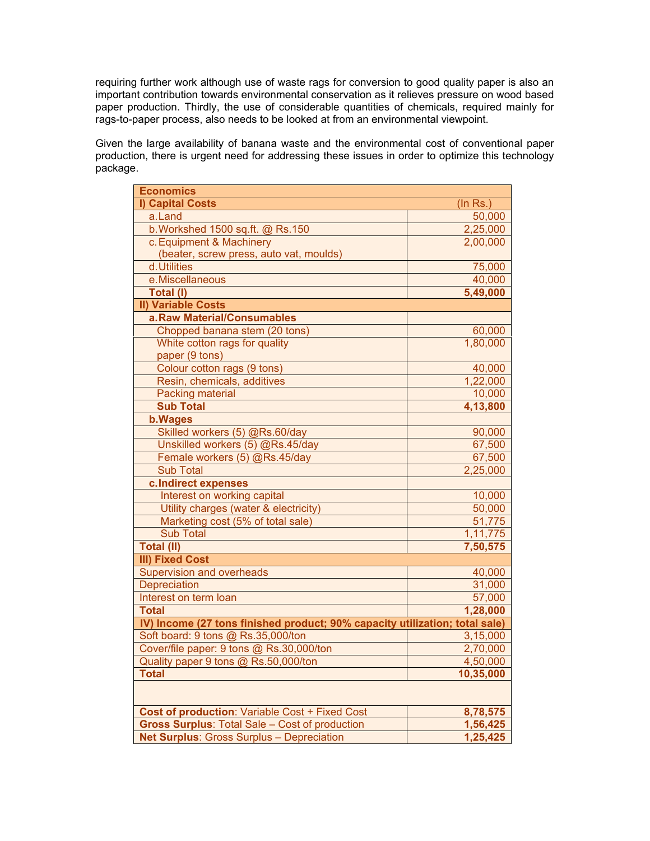requiring further work although use of waste rags for conversion to good quality paper is also an important contribution towards environmental conservation as it relieves pressure on wood based paper production. Thirdly, the use of considerable quantities of chemicals, required mainly for rags-to-paper process, also needs to be looked at from an environmental viewpoint.

Given the large availability of banana waste and the environmental cost of conventional paper production, there is urgent need for addressing these issues in order to optimize this technology package.

| <b>Economics</b>                                                            |                |
|-----------------------------------------------------------------------------|----------------|
| I) Capital Costs                                                            | $($ In Rs. $)$ |
| a.Land                                                                      | 50,000         |
| b. Workshed 1500 sq.ft. @ Rs.150                                            | 2,25,000       |
| c. Equipment & Machinery                                                    | 2,00,000       |
| (beater, screw press, auto vat, moulds)                                     |                |
| d. Utilities                                                                | 75,000         |
| e.Miscellaneous                                                             | 40,000         |
| Total (I)                                                                   | 5,49,000       |
| <b>II) Variable Costs</b>                                                   |                |
| a.Raw Material/Consumables                                                  |                |
| Chopped banana stem (20 tons)                                               | 60,000         |
| White cotton rags for quality                                               | 1,80,000       |
| paper (9 tons)                                                              |                |
| Colour cotton rags (9 tons)                                                 | 40,000         |
| Resin, chemicals, additives                                                 | 1,22,000       |
| <b>Packing material</b>                                                     | 10,000         |
| <b>Sub Total</b>                                                            | 4,13,800       |
| <b>b.Wages</b>                                                              |                |
| Skilled workers (5) @Rs.60/day                                              | 90,000         |
| Unskilled workers (5) @Rs.45/day                                            | 67,500         |
| Female workers (5) @Rs.45/day                                               | 67,500         |
| <b>Sub Total</b>                                                            | 2,25,000       |
| c.Indirect expenses                                                         |                |
| Interest on working capital                                                 | 10,000         |
| Utility charges (water & electricity)                                       | 50,000         |
| Marketing cost (5% of total sale)                                           | 51,775         |
| <b>Sub Total</b>                                                            | 1,11,775       |
| <b>Total (II)</b>                                                           | 7,50,575       |
| <b>III) Fixed Cost</b>                                                      |                |
| Supervision and overheads                                                   | 40,000         |
| Depreciation                                                                | 31,000         |
| Interest on term loan                                                       | 57,000         |
| <b>Total</b>                                                                | 1,28,000       |
| IV) Income (27 tons finished product; 90% capacity utilization; total sale) |                |
| Soft board: 9 tons @ Rs.35,000/ton                                          | 3,15,000       |
| Cover/file paper: 9 tons @ Rs.30,000/ton                                    | 2,70,000       |
| Quality paper 9 tons @ Rs.50,000/ton                                        | 4,50,000       |
| <b>Total</b>                                                                | 10,35,000      |
|                                                                             |                |
| <b>Cost of production:</b> Variable Cost + Fixed Cost                       | 8,78,575       |
| <b>Gross Surplus: Total Sale - Cost of production</b>                       | 1,56,425       |
| <b>Net Surplus: Gross Surplus - Depreciation</b>                            | 1,25,425       |